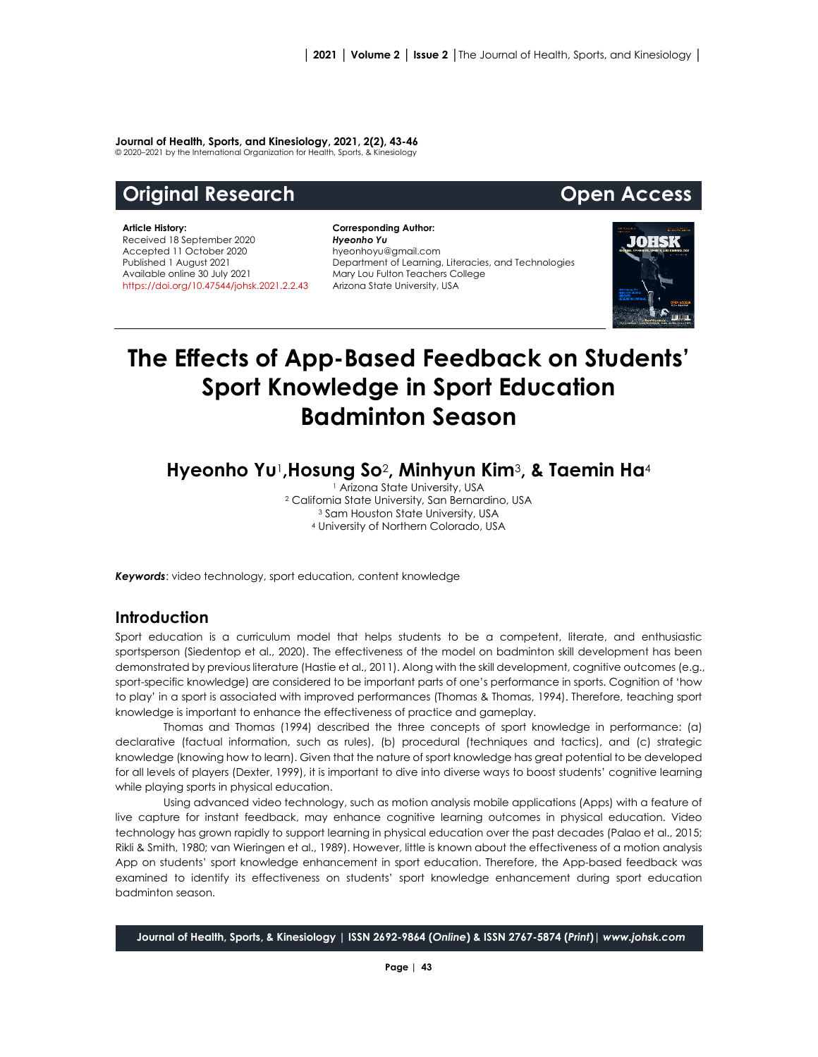#### **Journal of Health, Sports, and Kinesiology, 2021, 2(2), 43-46**

© 2020–2021 by the International Organization for Health, Sports, & Kinesiology

# **Original Research Community Community Community Community Open Access**

#### **Article History:** Received 18 September 2020 Accepted 11 October 2020 Published 1 August 2021 Available online 30 July 2021 [https://doi.org/10.47544/johsk.2021.2.2.4](https://doi.org/10.47544/johsk.2021.2.2.)3

**Corresponding Author:** *Hyeonho Yu* hyeonhoyu@gmail.com Department of Learning, Literacies, and Technologies Mary Lou Fulton Teachers College Arizona State University, USA



# **The Effects of App-Based Feedback on Students' Sport Knowledge in Sport Education Badminton Season**

**Hyeonho Yu**1**,Hosung So**2**, Minhyun Kim**3**, & Taemin Ha**<sup>4</sup>

 Arizona State University, USA California State University, San Bernardino, USA <sup>3</sup> Sam Houston State University, USA University of Northern Colorado, USA

*Keywords*: video technology, sport education, content knowledge

#### **Introduction**

Sport education is a curriculum model that helps students to be a competent, literate, and enthusiastic sportsperson (Siedentop et al., 2020). The effectiveness of the model on badminton skill development has been demonstrated by previous literature (Hastie et al., 2011). Along with the skill development, cognitive outcomes (e.g., sport-specific knowledge) are considered to be important parts of one's performance in sports. Cognition of 'how to play' in a sport is associated with improved performances (Thomas & Thomas, 1994). Therefore, teaching sport knowledge is important to enhance the effectiveness of practice and gameplay.

Thomas and Thomas (1994) described the three concepts of sport knowledge in performance: (a) declarative (factual information, such as rules), (b) procedural (techniques and tactics), and (c) strategic knowledge (knowing how to learn). Given that the nature of sport knowledge has great potential to be developed for all levels of players (Dexter, 1999), it is important to dive into diverse ways to boost students' cognitive learning while playing sports in physical education.

Using advanced video technology, such as motion analysis mobile applications (Apps) with a feature of live capture for instant feedback, may enhance cognitive learning outcomes in physical education. Video technology has grown rapidly to support learning in physical education over the past decades (Palao et al., 2015; Rikli & Smith, 1980; van Wieringen et al., 1989). However, little is known about the effectiveness of a motion analysis App on students' sport knowledge enhancement in sport education. Therefore, the App-based feedback was examined to identify its effectiveness on students' sport knowledge enhancement during sport education badminton season.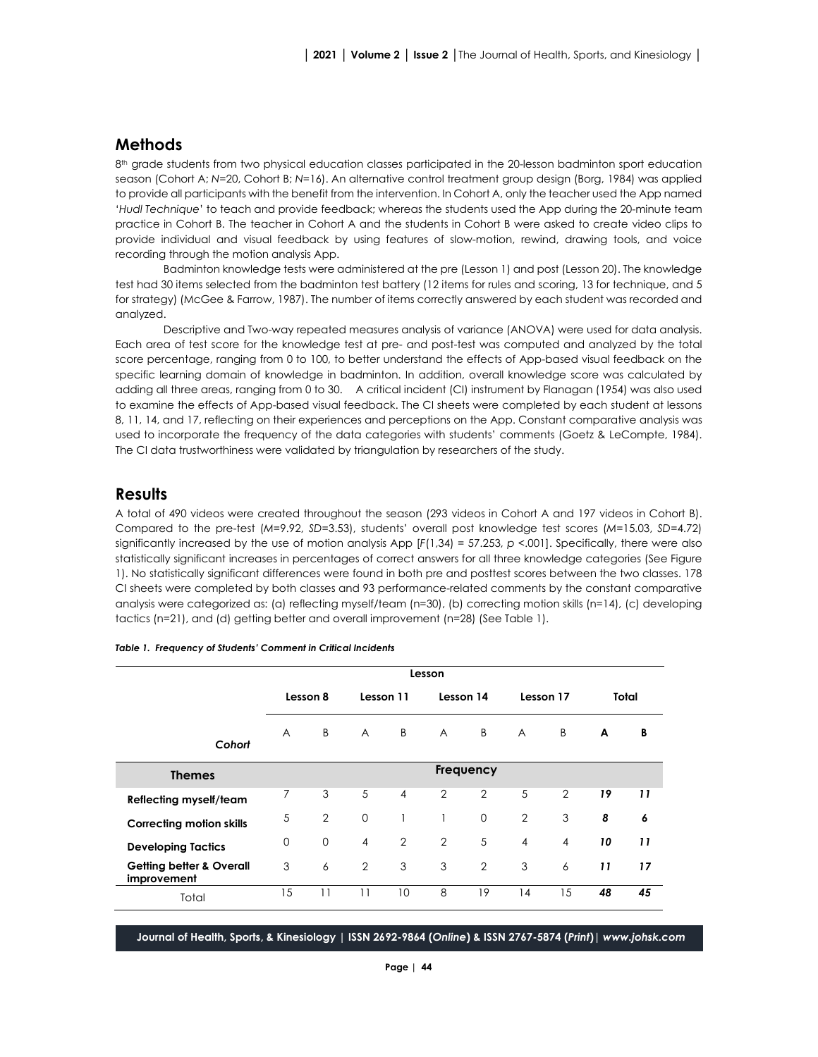## **Methods**

8<sup>th</sup> grade students from two physical education classes participated in the 20-lesson badminton sport education season (Cohort A; *N*=20, Cohort B; *N*=16). An alternative control treatment group design (Borg, 1984) was applied to provide all participants with the benefit from the intervention. In Cohort A, only the teacher used the App named '*Hudl Technique*' to teach and provide feedback; whereas the students used the App during the 20-minute team practice in Cohort B. The teacher in Cohort A and the students in Cohort B were asked to create video clips to provide individual and visual feedback by using features of slow-motion, rewind, drawing tools, and voice recording through the motion analysis App.

Badminton knowledge tests were administered at the pre (Lesson 1) and post (Lesson 20). The knowledge test had 30 items selected from the badminton test battery (12 items for rules and scoring, 13 for technique, and 5 for strategy) (McGee & Farrow, 1987). The number of items correctly answered by each student was recorded and analyzed.

Descriptive and Two-way repeated measures analysis of variance (ANOVA) were used for data analysis. Each area of test score for the knowledge test at pre- and post-test was computed and analyzed by the total score percentage, ranging from 0 to 100, to better understand the effects of App-based visual feedback on the specific learning domain of knowledge in badminton. In addition, overall knowledge score was calculated by adding all three areas, ranging from 0 to 30. A critical incident (CI) instrument by Flanagan (1954) was also used to examine the effects of App-based visual feedback. The CI sheets were completed by each student at lessons 8, 11, 14, and 17, reflecting on their experiences and perceptions on the App. Constant comparative analysis was used to incorporate the frequency of the data categories with students' comments (Goetz & LeCompte, 1984). The CI data trustworthiness were validated by triangulation by researchers of the study.

## **Results**

A total of 490 videos were created throughout the season (293 videos in Cohort A and 197 videos in Cohort B). Compared to the pre-test (*M*=9.92, *SD*=3.53), students' overall post knowledge test scores (*M*=15.03, *SD*=4.72) significantly increased by the use of motion analysis App [*F*(1,34) = 57.253, *p <*.001]. Specifically, there were also statistically significant increases in percentages of correct answers for all three knowledge categories (See Figure 1). No statistically significant differences were found in both pre and posttest scores between the two classes. 178 CI sheets were completed by both classes and 93 performance-related comments by the constant comparative analysis were categorized as: (a) reflecting myself/team (n=30), (b) correcting motion skills (n=14), (c) developing tactics (n=21), and (d) getting better and overall improvement (n=28) (See Table 1).

|                                                    | Lesson         |                |                |                |                |                |                |                |       |    |
|----------------------------------------------------|----------------|----------------|----------------|----------------|----------------|----------------|----------------|----------------|-------|----|
|                                                    | Lesson 8       |                | Lesson 11      |                | Lesson 14      |                | Lesson 17      |                | Total |    |
| Cohort                                             | $\overline{A}$ | B              | $\overline{A}$ | B              | $\overline{A}$ | B              | $\overline{A}$ | B              | A     | В  |
| <b>Themes</b>                                      | Frequency      |                |                |                |                |                |                |                |       |    |
| <b>Reflecting myself/team</b>                      | 7              | 3              | 5              | $\overline{4}$ | 2              | 2              | 5              | $\overline{2}$ | 19    | 11 |
| <b>Correcting motion skills</b>                    | 5              | $\overline{2}$ | $\mathbf 0$    | 1              |                | $\mathbf 0$    | $\overline{2}$ | 3              | 8     | 6  |
| <b>Developing Tactics</b>                          | $\Omega$       | $\Omega$       | $\overline{4}$ | $\overline{2}$ | $\overline{2}$ | 5              | $\overline{4}$ | $\overline{4}$ | 10    | 11 |
| <b>Getting better &amp; Overall</b><br>improvement | 3              | 6              | 2              | 3              | 3              | $\overline{2}$ | 3              | 6              | 11    | 17 |
| Total                                              | 15             | 11             | 11             | 10             | 8              | 19             | 14             | 15             | 48    | 45 |

*Table 1. Frequency of Students' Comment in Critical Incidents*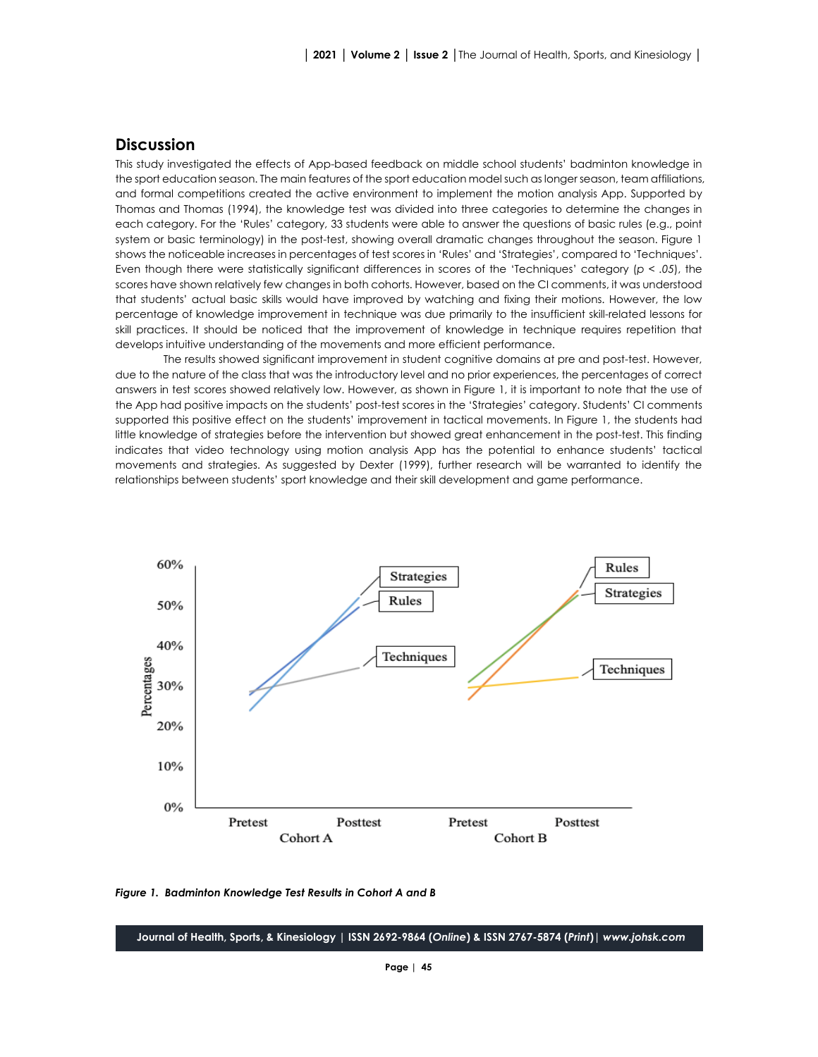#### **Discussion**

This study investigated the effects of App-based feedback on middle school students' badminton knowledge in the sport education season. The main features of the sport education model such as longer season, team affiliations, and formal competitions created the active environment to implement the motion analysis App. Supported by Thomas and Thomas (1994), the knowledge test was divided into three categories to determine the changes in each category. For the 'Rules' category, 33 students were able to answer the questions of basic rules (e.g., point system or basic terminology) in the post-test, showing overall dramatic changes throughout the season. Figure 1 shows the noticeable increases in percentages of test scores in 'Rules' and 'Strategies', compared to 'Techniques'. Even though there were statistically significant differences in scores of the 'Techniques' category (*p < .05*), the scores have shown relatively few changes in both cohorts. However, based on the CI comments, it was understood that students' actual basic skills would have improved by watching and fixing their motions. However, the low percentage of knowledge improvement in technique was due primarily to the insufficient skill-related lessons for skill practices. It should be noticed that the improvement of knowledge in technique requires repetition that develops intuitive understanding of the movements and more efficient performance.

The results showed significant improvement in student cognitive domains at pre and post-test. However, due to the nature of the class that was the introductory level and no prior experiences, the percentages of correct answers in test scores showed relatively low. However, as shown in Figure 1, it is important to note that the use of the App had positive impacts on the students' post-test scores in the 'Strategies' category. Students' CI comments supported this positive effect on the students' improvement in tactical movements. In Figure 1, the students had little knowledge of strategies before the intervention but showed great enhancement in the post-test. This finding indicates that video technology using motion analysis App has the potential to enhance students' tactical movements and strategies. As suggested by Dexter (1999), further research will be warranted to identify the relationships between students' sport knowledge and their skill development and game performance.



*Figure 1. Badminton Knowledge Test Results in Cohort A and B*